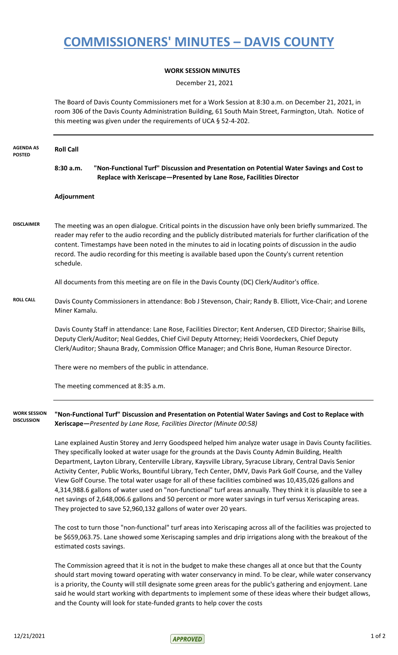## **COMMISSIONERS' MINUTES – DAVIS COUNTY**

## **WORK SESSION MINUTES**

December 21, 2021

The Board of Davis County Commissioners met for a Work Session at 8:30 a.m. on December 21, 2021, in room 306 of the Davis County Administration Building, 61 South Main Street, Farmington, Utah. Notice of this meeting was given under the requirements of UCA § 52-4-202.

| <b>AGENDA AS</b><br><b>POSTED</b>        | <b>Roll Call</b>                                                                                                                                                                                                                                                                                                                                                                                                                                             |
|------------------------------------------|--------------------------------------------------------------------------------------------------------------------------------------------------------------------------------------------------------------------------------------------------------------------------------------------------------------------------------------------------------------------------------------------------------------------------------------------------------------|
|                                          | 8:30 a.m.<br>"Non-Functional Turf" Discussion and Presentation on Potential Water Savings and Cost to<br>Replace with Xeriscape-Presented by Lane Rose, Facilities Director                                                                                                                                                                                                                                                                                  |
|                                          | Adjournment                                                                                                                                                                                                                                                                                                                                                                                                                                                  |
| <b>DISCLAIMER</b>                        | The meeting was an open dialogue. Critical points in the discussion have only been briefly summarized. The<br>reader may refer to the audio recording and the publicly distributed materials for further clarification of the<br>content. Timestamps have been noted in the minutes to aid in locating points of discussion in the audio<br>record. The audio recording for this meeting is available based upon the County's current retention<br>schedule. |
|                                          | All documents from this meeting are on file in the Davis County (DC) Clerk/Auditor's office.                                                                                                                                                                                                                                                                                                                                                                 |
| <b>ROLL CALL</b>                         | Davis County Commissioners in attendance: Bob J Stevenson, Chair; Randy B. Elliott, Vice-Chair; and Lorene<br>Miner Kamalu.                                                                                                                                                                                                                                                                                                                                  |
|                                          | Davis County Staff in attendance: Lane Rose, Facilities Director; Kent Andersen, CED Director; Shairise Bills,<br>Deputy Clerk/Auditor; Neal Geddes, Chief Civil Deputy Attorney; Heidi Voordeckers, Chief Deputy<br>Clerk/Auditor; Shauna Brady, Commission Office Manager; and Chris Bone, Human Resource Director.                                                                                                                                        |
|                                          | There were no members of the public in attendance.                                                                                                                                                                                                                                                                                                                                                                                                           |
|                                          | The meeting commenced at 8:35 a.m.                                                                                                                                                                                                                                                                                                                                                                                                                           |
| <b>WORK SESSION</b><br><b>DISCUSSION</b> | "Non-Functional Turf" Discussion and Presentation on Potential Water Savings and Cost to Replace with<br>Xeriscape-Presented by Lane Rose, Facilities Director (Minute 00:58)                                                                                                                                                                                                                                                                                |
|                                          | Lane explained Austin Storey and Jerry Goodspeed helped him analyze water usage in Davis County facilities.<br>They specifically looked at water usage for the grounds at the Davis County Admin Building, Health<br>Department, Layton Library, Centerville Library, Kaysville Library, Syracuse Library, Central Davis Senior                                                                                                                              |

Activity Center, Public Works, Bountiful Library, Tech Center, DMV, Davis Park Golf Course, and the Valley View Golf Course. The total water usage for all of these facilities combined was 10,435,026 gallons and 4,314,988.6 gallons of water used on "non-functional" turf areas annually. They think it is plausible to see a net savings of 2,648,006.6 gallons and 50 percent or more water savings in turf versus Xeriscaping areas. They projected to save 52,960,132 gallons of water over 20 years.

The cost to turn those "non-functional" turf areas into Xeriscaping across all of the facilities was projected to be \$659,063.75. Lane showed some Xeriscaping samples and drip irrigations along with the breakout of the estimated costs savings.

The Commission agreed that it is not in the budget to make these changes all at once but that the County should start moving toward operating with water conservancy in mind. To be clear, while water conservancy is a priority, the County will still designate some green areas for the public's gathering and enjoyment. Lane said he would start working with departments to implement some of these ideas where their budget allows, and the County will look for state-funded grants to help cover the costs

 $12/21/2021$  1 of 2